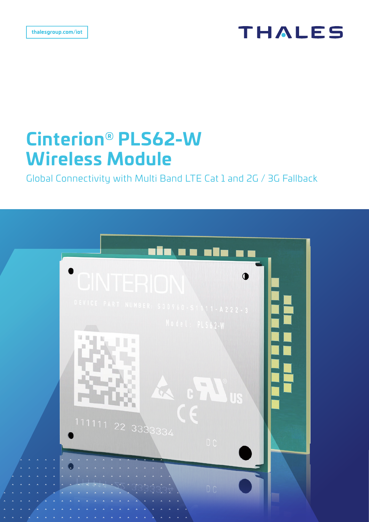# **THALES**

# **Cinterion® PLS62-W Wireless Module**

Global Connectivity with Multi Band LTE Cat 1 and 2G / 3G Fallback

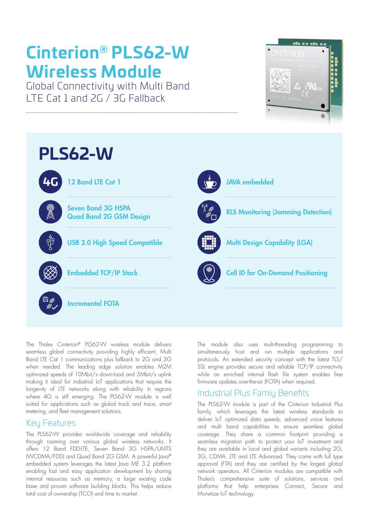# **Cinterion® PLS62-W Wireless Module**

Global Connectivity with Multi Band LTE Cat 1 and 2G / 3G Fallback





The Thales Cinterion® PLS62-W wireless module delivers seamless global connectivity providing highly efficient, Multi Band LTE Cat 1 communications plus fallback to 2G and 3G when needed. The leading edge solution enables M2M optimized speeds of 10Mbit/s down-load and 5Mbit/s uplink making it ideal for industrial IoT applications that require the longevity of LTE networks along with reliability in regions where 4G is still emerging. The PLS62-W module is well suited for applications such as global track and trace, smart metering, and fleet management solutions.

### **Key Features**

The PLS62-W provides worldwide coverage and reliability through roaming over various global wireless networks. It offers 12 Band FDD-LTE, Seven Band 3G HSPA/UMTS (WCDMA/FDD) and Quad Band 2G GSM. A powerful Java® embedded system leverages the latest Java ME 3.2 platform enabling fast and easy application development by sharing internal resources such as memory, a large existing code base and proven software building blocks. This helps reduce total cost of ownership (TCO) and time to market.

The module also uses multi-threading programming to simultaneously host and run multiple applications and protocols. An extended security concept with the latest TLS/ SSL engine provides secure and reliable TCP/IP connectivity while an enriched internal flash file system enables free firmware updates over-the-air (FOTA) when required.

## Industrial Plus Famiu Benefits

The PLS62-W module is part of the Cinterion Industrial Plus family, which leverages the latest wireless standards to deliver IoT optimized data speeds, advanced voice features and multi band capabilities to ensure seamless global coverage. They share a common footprint providing a seamless migration path to protect your IoT investment and they are available in local and global variants including 2G, 3G, CDMA, LTE and LTE Advanced. They come with full type approval (FTA) and they are certified by the largest global network operators. All Cinterion modules are compatible with Thales's comprehensive suite of solutions, services and platforms that help enterprises Connect, Secure and Monetize IoT technology.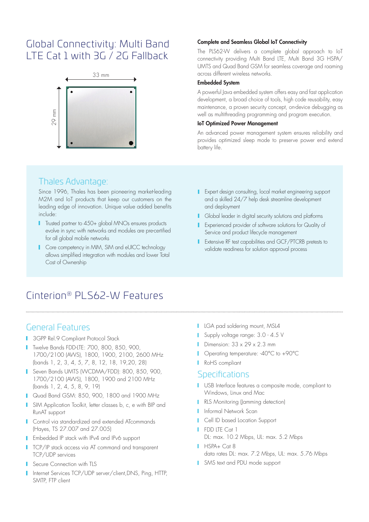# Global Connectivity: Multi Band LTE Cat 1 with 3G / 2G Fallback



## Thales Advantage:

Since 1996, Thales has been pioneering market-leading M2M and IoT products that keep our customers on the leading edge of innovation. Unique value added benefits include:

- **T** Trusted partner to 450+ global MNOs ensures products evolve in sync with networks and modules are pre-certified for all global mobile networks
- Core competency in MIM, SIM and eUICC technology allows simplified integration with modules and lower Total Cost of Ownership

#### Complete and Seamless Global IoT Connectivity

The PLS62-W delivers a complete global approach to IoT connectivity providing Multi Band LTE, Multi Band 3G HSPA/ UMTS and Quad Band GSM for seamless coverage and roaming across different wireless networks.

#### Embedded System

A powerful Java embedded system offers easy and fast application development, a broad choice of tools, high code reusability, easy maintenance, a proven security concept, on-device debugging as well as multithreading programming and program execution.

### IoT Optimized Power Management

An advanced power management system ensures reliability and provides optimized sleep mode to preserve power end extend battery life.

- **I** Expert design consulting, local market engineering support and a skilled 24/7 help desk streamline development and deployment
- **I** Global leader in digital security solutions and platforms
- Experienced provider of software solutions for Quality of Service and product lifecycle management
- **I** Extensive RF test capabilities and GCF/PTCRB pretests to validate readiness for solution approval process

# Cinterion® PLS62-W Features

### General Features

- **3GPP Rel.9 Compliant Protocol Stack**
- **T** Twelve Bands FDD-LTE: 700, 800, 850, 900, 1700/2100 (AWS), 1800, 1900, 2100, 2600 MHz (bands 1, 2, 3, 4, 5, 7, 8, 12, 18, 19,20, 28)
- Seven Bands UMTS (WCDMA/FDD): 800, 850, 900, 1700/2100 (AWS), 1800, 1900 and 2100 MHz (bands 1, 2, 4, 5, 8, 9, 19)
- **Quad Band GSM: 850, 900, 1800 and 1900 MHz**
- I SIM Application Toolkit, letter classes b, c, e with BIP and RunAT support
- **Control via standardized and extended ATcommands** (Hayes, TS 27.007 and 27.005)
- **F** Embedded IP stack with IPv4 and IPv6 support
- **TCP/IP stack access via AT command and transparent** TCP/UDP services
- **Secure Connection with TLS**
- Internet Services TCP/UDP server/client, DNS, Ping, HTTP, SMTP, FTP client
- **LGA pad soldering mount, MSL4**
- Supply voltage range: 3.0 4.5 V
- Dimension:  $33 \times 29 \times 2.3$  mm
- **Operating temperature: -40°C to +90°C**
- RoHS compliant

### **Specifications**

- **USB** Interface features a composite mode, compliant to Windows, Linux and Mac
- **RLS Monitoring (Jamming detection)**
- **I** Informal Network Scan
- **Cell ID based Location Support**
- **I** FDD LTE Cat 1 DL: max. 10.2 Mbps, UL: max. 5.2 Mbps  $HSPA + C_0t R$
- data rates DL: max. 7.2 Mbps, UL: max. 5.76 Mbps
- SMS text and PDU mode support